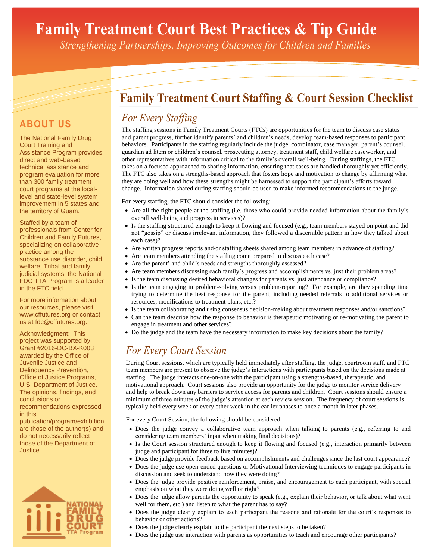# **Family Treatment Court Best Practices & Tip Guide**

*Strengthening Partnerships, Improving Outcomes for Children and Families*

# **Family Treatment Court Staffing & Court Session Checklist**

# *For Every Staffing*

The staffing sessions in Family Treatment Courts (FTCs) are opportunities for the team to discuss case status and parent progress, further identify parents' and children's needs, develop team-based responses to participant behaviors. Participants in the staffing regularly include the judge, coordinator, case manager, parent's counsel, guardian ad litem or children's counsel, prosecuting attorney, treatment staff, child welfare caseworker, and other representatives with information critical to the family's overall well-being. During staffings, the FTC takes on a focused approached to sharing information, ensuring that cases are handled thoroughly yet efficiently. The FTC also takes on a strengths-based approach that fosters hope and motivation to change by affirming what they are doing well and how these strengths might be harnessed to support the participant's efforts toward change. Information shared during staffing should be used to make informed recommendations to the judge.

For every staffing, the FTC should consider the following:

- Are all the right people at the staffing (i.e. those who could provide needed information about the family's overall well-being and progress in services)?
- Is the staffing structured enough to keep it flowing and focused (e.g., team members stayed on point and did not "gossip" or discuss irrelevant information, they followed a discernible pattern in how they talked about each case)?
- Are written progress reports and/or staffing sheets shared among team members in advance of staffing?
- Are team members attending the staffing come prepared to discuss each case?
	- Are the parent' and child's needs and strengths thoroughly assessed?
	- Are team members discussing each family's progress and accomplishments vs. just their problem areas?
	- Is the team discussing desired behavioral changes for parents vs. just attendance or compliance?
	- Is the team engaging in problem-solving versus problem-reporting? For example, are they spending time trying to determine the best response for the parent, including needed referrals to additional services or resources, modifications to treatment plans, etc.?
	- Is the team collaborating and using consensus decision-making about treatment responses and/or sanctions?
	- Can the team describe how the response to behavior is therapeutic motivating or re-motivating the parent to engage in treatment and other services?
	- Do the judge and the team have the necessary information to make key decisions about the family?

### *For Every Court Session*

During Court sessions, which are typically held immediately after staffing, the judge, courtroom staff, and FTC team members are present to observe the judge's interactions with participants based on the decisions made at staffing. The judge interacts one-on-one with the participant using a strengths-based, therapeutic, and motivational approach. Court sessions also provide an opportunity for the judge to monitor service delivery and help to break down any barriers to service access for parents and children. Court sessions should ensure a minimum of three minutes of the judge's attention at each review session. The frequency of court sessions is typically held every week or every other week in the earlier phases to once a month in later phases.

For every Court Session, the following should be considered:

- Does the judge convey a collaborative team approach when talking to parents (e.g., referring to and considering team members' input when making final decisions)?
- Is the Court session structured enough to keep it flowing and focused (e.g., interaction primarily between judge and participant for three to five minutes)?
- Does the judge provide feedback based on accomplishments and challenges since the last court appearance?
- Does the judge use open-ended questions or Motivational Interviewing techniques to engage participants in discussion and seek to understand how they were doing?
- Does the judge provide positive reinforcement, praise, and encouragement to each participant, with special emphasis on what they were doing well or right?
- Does the judge allow parents the opportunity to speak (e.g., explain their behavior, or talk about what went well for them, etc.) and listen to what the parent has to say?
- Does the judge clearly explain to each participant the reasons and rationale for the court's responses to behavior or other actions?
- Does the judge clearly explain to the participant the next steps to be taken?
- Does the judge use interaction with parents as opportunities to teach and encourage other participants?

## **ABOUT US**

The National Family Drug Court Training and Assistance Program provides direct and web-based technical assistance and program evaluation for more than 300 family treatment court programs at the locallevel and state-level system improvement in 5 states and the territory of Guam.

Staffed by a team of professionals from Center for Children and Family Futures, specializing on collaborative practice among the substance use disorder, child welfare, Tribal and family judicial systems, the National FDC TTA Program is a leader in the FTC field.

For more information about our resources, please visit www.cffutures.org or contact us at fdc@cffutures.org.

Acknowledgment: This project was supported by Grant #2016-DC-BX-K003 awarded by the Office of Juvenile Justice and Delinquency Prevention, Office of Justice Programs, U.S. Department of Justice. The opinions, findings, and conclusions or recommendations expressed in this

publication/program/exhibition are those of the author(s) and do not necessarily reflect those of the Department of Justice*.*